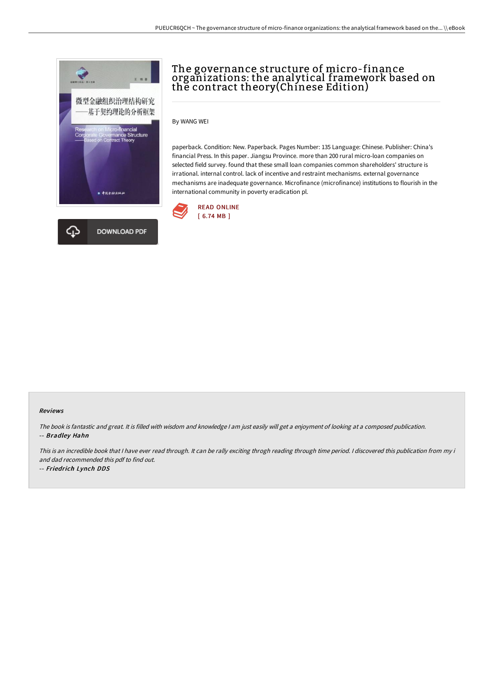

# The governance structure of micro-finance organizations: the analytical framework based on thĕ contract theory(Chínese Edition)

By WANG WEI

paperback. Condition: New. Paperback. Pages Number: 135 Language: Chinese. Publisher: China's financial Press. In this paper. Jiangsu Province. more than 200 rural micro-loan companies on selected field survey. found that these small loan companies common shareholders' structure is irrational. internal control. lack of incentive and restraint mechanisms. external governance mechanisms are inadequate governance. Microfinance (microfinance) institutions to flourish in the international community in poverty eradication pl.



#### Reviews

The book is fantastic and great. It is filled with wisdom and knowledge <sup>I</sup> am just easily will get <sup>a</sup> enjoyment of looking at <sup>a</sup> composed publication. -- Bradley Hahn

This is an incredible book that I have ever read through. It can be rally exciting throgh reading through time period. I discovered this publication from my i and dad recommended this pdf to find out.

-- Friedrich Lynch DDS